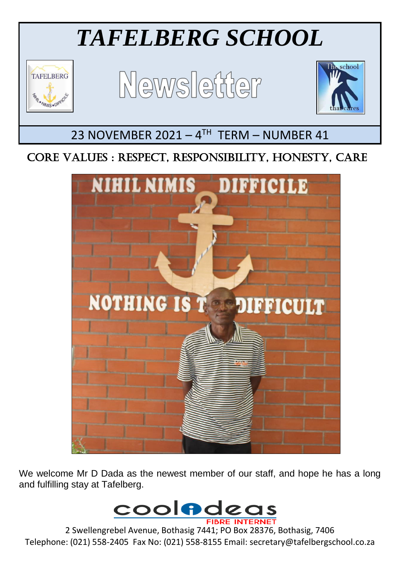# *TAFELBERG SCHOOL*



L

# Newsletter



## 23 NOVEMBER 2021 - 4TH TERM - NUMBER 41

### CORE VALUES : RESPECT, RESPONSIBILITY, HONESTY, CARE



We welcome Mr D Dada as the newest member of our staff, and hope he has a long and fulfilling stay at Tafelberg.



2 Swellengrebel Avenue, Bothasig 7441; PO Box 28376, Bothasig, 7406 Telephone: (021) 558-2405 Fax No: (021) 558-8155 Email: secretary@tafelbergschool.co.za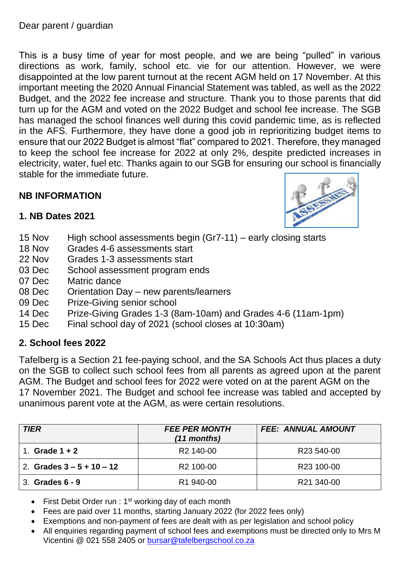Dear parent / guardian

This is a busy time of year for most people, and we are being "pulled" in various directions as work, family, school etc. vie for our attention. However, we were disappointed at the low parent turnout at the recent AGM held on 17 November. At this important meeting the 2020 Annual Financial Statement was tabled, as well as the 2022 Budget, and the 2022 fee increase and structure. Thank you to those parents that did turn up for the AGM and voted on the 2022 Budget and school fee increase. The SGB has managed the school finances well during this covid pandemic time, as is reflected in the AFS. Furthermore, they have done a good job in reprioritizing budget items to ensure that our 2022 Budget is almost "flat" compared to 2021. Therefore, they managed to keep the school fee increase for 2022 at only 2%, despite predicted increases in electricity, water, fuel etc. Thanks again to our SGB for ensuring our school is financially stable for the immediate future.

#### **NB INFORMATION**



- **1. NB Dates 2021**
- 15 Nov High school assessments begin (Gr7-11) early closing starts
- 18 Nov Grades 4-6 assessments start
- 22 Nov Grades 1-3 assessments start
- 03 Dec School assessment program ends
- 07 Dec Matric dance
- 08 Dec Orientation Day new parents/learners
- 09 Dec Prize-Giving senior school
- 14 Dec Prize-Giving Grades 1-3 (8am-10am) and Grades 4-6 (11am-1pm)
- 15 Dec Final school day of 2021 (school closes at 10:30am)

#### **2. School fees 2022**

Tafelberg is a Section 21 fee-paying school, and the SA Schools Act thus places a duty on the SGB to collect such school fees from all parents as agreed upon at the parent AGM. The Budget and school fees for 2022 were voted on at the parent AGM on the 17 November 2021. The Budget and school fee increase was tabled and accepted by unanimous parent vote at the AGM, as were certain resolutions.

| <b>TIER</b>                 | <b>FEE PER MONTH</b><br>(11 months) | <b>FEE: ANNUAL AMOUNT</b> |
|-----------------------------|-------------------------------------|---------------------------|
| Grade $1 + 2$               | R <sub>2</sub> 140-00               | R23 540-00                |
| 2. Grades $3 - 5 + 10 - 12$ | R <sub>2</sub> 100-00               | R23 100-00                |
| 3. Grades 6 - 9             | R <sub>1</sub> 940-00               | R21 340-00                |

- First Debit Order run : 1<sup>st</sup> working day of each month
- Fees are paid over 11 months, starting January 2022 (for 2022 fees only)
- Exemptions and non-payment of fees are dealt with as per legislation and school policy
- All enquiries regarding payment of school fees and exemptions must be directed only to Mrs M Vicentini @ 021 558 2405 or [bursar@tafelbergschool.co.za](mailto:bursar@tafelbergschool.co.za)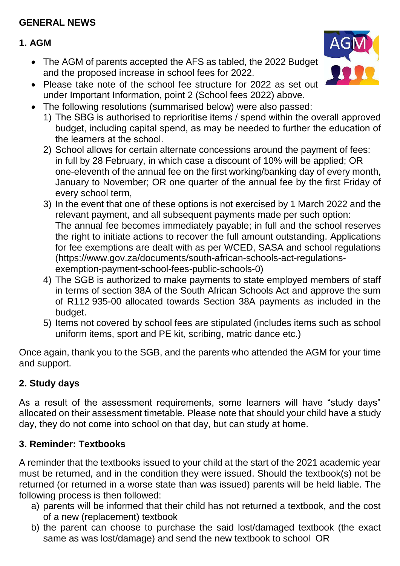#### **GENERAL NEWS**

#### **1. AGM**

- The AGM of parents accepted the AFS as tabled, the 2022 Budget and the proposed increase in school fees for 2022.
- Please take note of the school fee structure for 2022 as set out under Important Information, point 2 (School fees 2022) above.
- The following resolutions (summarised below) were also passed:
	- 1) The SBG is authorised to reprioritise items / spend within the overall approved budget, including capital spend, as may be needed to further the education of the learners at the school.
	- 2) School allows for certain alternate concessions around the payment of fees: in full by 28 February, in which case a discount of 10% will be applied; OR one-eleventh of the annual fee on the first working/banking day of every month, January to November; OR one quarter of the annual fee by the first Friday of every school term,
	- 3) In the event that one of these options is not exercised by 1 March 2022 and the relevant payment, and all subsequent payments made per such option: The annual fee becomes immediately payable; in full and the school reserves the right to initiate actions to recover the full amount outstanding. Applications for fee exemptions are dealt with as per WCED, SASA and school regulations (https://www.gov.za/documents/south-african-schools-act-regulationsexemption-payment-school-fees-public-schools-0)
	- 4) The SGB is authorized to make payments to state employed members of staff in terms of section 38A of the South African Schools Act and approve the sum of R112 935-00 allocated towards Section 38A payments as included in the budget.
	- 5) Items not covered by school fees are stipulated (includes items such as school uniform items, sport and PE kit, scribing, matric dance etc.)

Once again, thank you to the SGB, and the parents who attended the AGM for your time and support.

#### **2. Study days**

As a result of the assessment requirements, some learners will have "study days" allocated on their assessment timetable. Please note that should your child have a study day, they do not come into school on that day, but can study at home.

#### **3. Reminder: Textbooks**

A reminder that the textbooks issued to your child at the start of the 2021 academic year must be returned, and in the condition they were issued. Should the textbook(s) not be returned (or returned in a worse state than was issued) parents will be held liable. The following process is then followed:

- a) parents will be informed that their child has not returned a textbook, and the cost of a new (replacement) textbook
- b) the parent can choose to purchase the said lost/damaged textbook (the exact same as was lost/damage) and send the new textbook to school OR

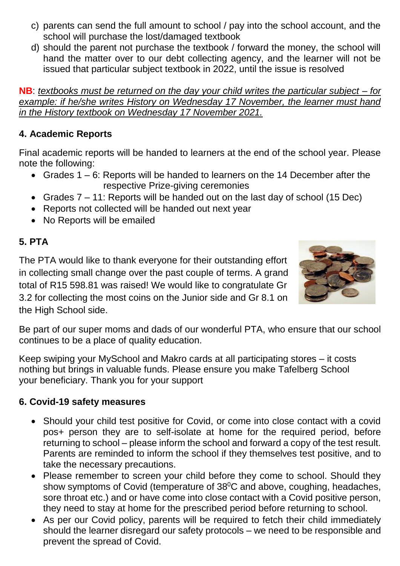- c) parents can send the full amount to school / pay into the school account, and the school will purchase the lost/damaged textbook
- d) should the parent not purchase the textbook / forward the money, the school will hand the matter over to our debt collecting agency, and the learner will not be issued that particular subject textbook in 2022, until the issue is resolved

**NB**: *textbooks must be returned on the day your child writes the particular subject – for example: if he/she writes History on Wednesday 17 November, the learner must hand in the History textbook on Wednesday 17 November 2021.*

#### **4. Academic Reports**

Final academic reports will be handed to learners at the end of the school year. Please note the following:

- Grades 1 6: Reports will be handed to learners on the 14 December after the respective Prize-giving ceremonies
- Grades 7 11: Reports will be handed out on the last day of school (15 Dec)
- Reports not collected will be handed out next year
- No Reports will be emailed

#### **5. PTA**

The PTA would like to thank everyone for their outstanding effort in collecting small change over the past couple of terms. A grand total of R15 598.81 was raised! We would like to congratulate Gr 3.2 for collecting the most coins on the Junior side and Gr 8.1 on the High School side.



Be part of our super moms and dads of our wonderful PTA, who ensure that our school continues to be a place of quality education.

Keep swiping your MySchool and Makro cards at all participating stores – it costs nothing but brings in valuable funds. Please ensure you make Tafelberg School your beneficiary. Thank you for your support

#### **6. Covid-19 safety measures**

- Should your child test positive for Covid, or come into close contact with a covid pos+ person they are to self-isolate at home for the required period, before returning to school – please inform the school and forward a copy of the test result. Parents are reminded to inform the school if they themselves test positive, and to take the necessary precautions.
- Please remember to screen your child before they come to school. Should they show symptoms of Covid (temperature of  $38^{\circ}$ C and above, coughing, headaches, sore throat etc.) and or have come into close contact with a Covid positive person, they need to stay at home for the prescribed period before returning to school.
- As per our Covid policy, parents will be required to fetch their child immediately should the learner disregard our safety protocols – we need to be responsible and prevent the spread of Covid.